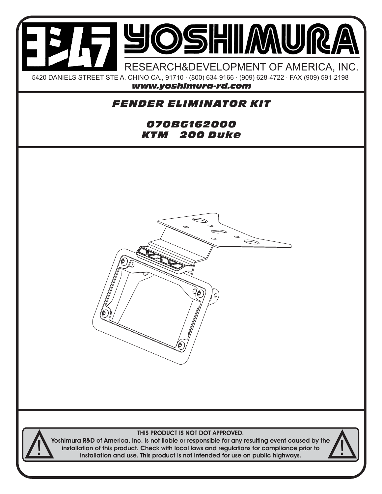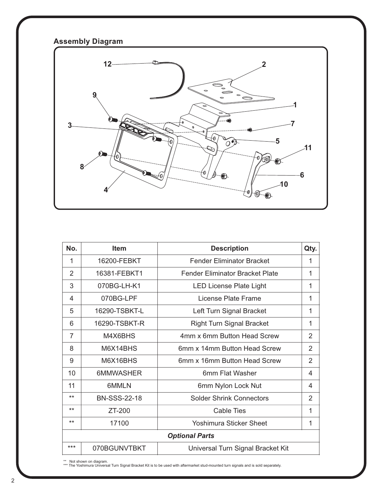## **Assembly Diagram**



| No.                   | <b>Item</b>         | <b>Description</b>                | Qty.           |
|-----------------------|---------------------|-----------------------------------|----------------|
| 1                     | 16200-FEBKT         | <b>Fender Eliminator Bracket</b>  | 1              |
| $\mathcal{P}$         | 16381-FEBKT1        | Fender Eliminator Bracket Plate   | 1              |
| 3                     | 070BG-LH-K1         | <b>LED License Plate Light</b>    | 1              |
| 4                     | 070BG-LPF           | License Plate Frame               | 1              |
| 5                     | 16290-TSBKT-L       | Left Turn Signal Bracket          | 1              |
| 6                     | 16290-TSBKT-R       | <b>Right Turn Signal Bracket</b>  | 1              |
| $\overline{7}$        | M4X6BHS             | 4mm x 6mm Button Head Screw       | $\overline{2}$ |
| 8                     | M6X14BHS            | 6mm x 14mm Button Head Screw      | 2              |
| 9                     | M6X16BHS            | 6mm x 16mm Button Head Screw      | $\overline{2}$ |
| 10                    | 6MMWASHER           | 6mm Flat Washer                   | 4              |
| 11                    | 6MMLN               | 6mm Nylon Lock Nut                | 4              |
| $***$                 | <b>BN-SSS-22-18</b> | <b>Solder Shrink Connectors</b>   | $\overline{2}$ |
| $***$                 | ZT-200              | <b>Cable Ties</b>                 | 1              |
| $***$                 | 17100               | Yoshimura Sticker Sheet           | 1              |
| <b>Optional Parts</b> |                     |                                   |                |
| ***                   | 070BGUNVTBKT        | Universal Turn Signal Bracket Kit |                |

\*\* Not shown on diagram. \*\*\* The Yoshimura Universal Turn Signal Bracket Kit is to be used with aftermarket stud-mounted turn signals and is sold separately.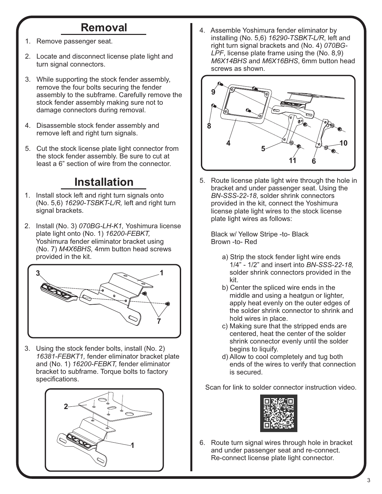## **Removal**

- 1. Remove passenger seat.
- 2. Locate and disconnect license plate light and turn signal connectors.
- 3. While supporting the stock fender assembly, remove the four bolts securing the fender assembly to the subframe. Carefully remove the stock fender assembly making sure not to damage connectors during removal.
- 4. Disassemble stock fender assembly and remove left and right turn signals.
- 5. Cut the stock license plate light connector from the stock fender assembly. Be sure to cut at least a 6" section of wire from the connector.

## **Installation**

- 1. Install stock left and right turn signals onto (No. 5,6) *16290-TSBKT-L/R,* left and right turn signal brackets.
- 2. Install (No. 3) *070BG-LH-K1,* Yoshimura license plate light onto (No. 1) *16200-FEBKT,*  Yoshimura fender eliminator bracket using (No. 7) *M4X6BHS,* 4mm button head screws provided in the kit.



3. Using the stock fender bolts, install (No. 2)  *16381-FEBKT1,* fender eliminator bracket plate and (No. 1) *16200-FEBKT,* fender eliminator bracket to subframe. Torque bolts to factory specifications.



4. Assemble Yoshimura fender eliminator by installing (No. 5,6) *16290-TSBKT-L/R*, left and right turn signal brackets and (No. 4) *070BG- LPF*, license plate frame using the (No. 8,9)  *M6X14BHS* and *M6X16BHS*, 6mm button head screws as shown.



5. Route license plate light wire through the hole in bracket and under passenger seat. Using the  *BN-SSS-22-18*, solder shrink connectors provided in the kit, connect the Yoshimura license plate light wires to the stock license plate light wires as follows:

 Black w/ Yellow Stripe -to- Black Brown -to- Red

- a) Strip the stock fender light wire ends 1/4" - 1/2" and insert into *BN-SSS-22-18,* solder shrink connectors provided in the kit.
- b) Center the spliced wire ends in the middle and using a heatgun or lighter, apply heat evenly on the outer edges of the solder shrink connector to shrink and hold wires in place.
- c) Making sure that the stripped ends are centered, heat the center of the solder shrink connector evenly until the solder begins to liquify.
- d) Allow to cool completely and tug both ends of the wires to verify that connection is secured.

Scan for link to solder connector instruction video.



6. Route turn signal wires through hole in bracket and under passenger seat and re-connect. Re-connect license plate light connector.